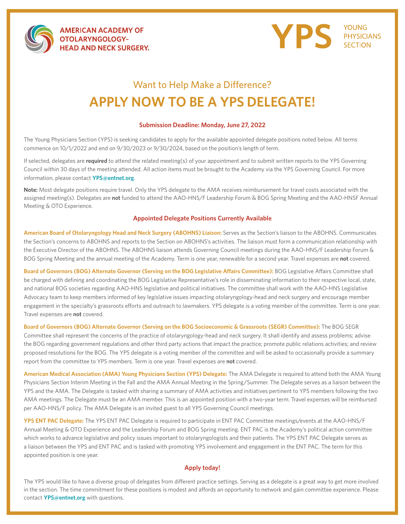

**AMERICAN ACADEMY OF** OTOLARYNGOLOGY-**HEAD AND NECK SURGERY.** 



## Want to Help Make a Difference? **APPLY NOW TO BE A YPS DELEGATE!**

## **Submission Deadline: Monday, June 27, 2022**

The Young Physicians Section (YPS) is seeking candidates to apply for the available appointed delegate positions noted below. All terms commence on 10/1/2022 and end on 9/30/2023 or 9/30/2024, based on the position's length of term.

If selected, delegates are **required** to attend the related meeting(s) of your appointment and to submit written reports to the YPS Governing Council within 30 days of the meeting attended. All action items must be brought to the Academy via the YPS Governing Council. For more information, please contact **YP[S@entnet.org](mailto:yps%40entnet.org?subject=)**.

**Note:** Most delegate positions require travel. Only the YPS delegate to the AMA receives reimbursement for travel costs associated with the assigned meeting(s). Delegates are **not** funded to attend the AAO-HNS/F Leadership Forum & BOG Spring Meeting and the AAO-HNSF Annual Meeting & OTO Experience.

## **Appointed Delegate Positions Currently Available**

**American Board of Otolaryngology Head and Neck Surgery (ABOHNS) Liaison:** Serves as the Section's liaison to the ABOHNS. Communicates the Section's concerns to ABOHNS and reports to the Section on ABOHNS's activities. The liaison must form a communication relationship with the Executive Director of the ABOHNS. The ABOHNS liaison attends Governing Council meetings during the AAO-HNS/F Leadership Forum & BOG Spring Meeting and the annual meeting of the Academy. Term is one year, renewable for a second year. Travel expenses are **not** covered.

**Board of Governors (BOG) Alternate Governor (Serving on the BOG Legislative Affairs Committee):** BOG Legislative Affairs Committee shall be charged with defining and coordinating the BOG Legislative Representative's role in disseminating information to their respective local, state, and national BOG societies regarding AAO-HNS legislative and political initiatives. The committee shall work with the AAO-HNS Legislative Advocacy team to keep members informed of key legislative issues impacting otolaryngology-head and neck surgery and encourage member engagement in the specialty's grassroots efforts and outreach to lawmakers. YPS delegate is a voting member of the committee. Term is one year. Travel expenses are **not** covered.

**Board of Governors (BOG) Alternate Governor (Serving on the BOG Socioeconomic & Grassroots (SEGR) Committee):** The BOG SEGR Committee shall represent the concerns of the practice of otolaryngology-head and neck surgery. It shall identify and assess problems; advise the BOG regarding government regulations and other third party actions that impact the practice; promote public relations activities; and review proposed resolutions for the BOG. The YPS delegate is a voting member of the committee and will be asked to occasionally provide a summary report from the committee to YPS members. Term is one year. Travel expenses are **not** covered.

**American Medical Association (AMA) Young Physicians Section (YPS) Delegate:** The AMA Delegate is required to attend both the AMA Young Physicians Section Interim Meeting in the Fall and the AMA Annual Meeting in the Spring/Summer. The Delegate serves as a liaison between the YPS and the AMA. The Delegate is tasked with sharing a summary of AMA activities and initiatives pertinent to YPS members following the two AMA meetings. The Delegate must be an AMA member. This is an appointed position with a two-year term. Travel expenses will be reimbursed per AAO-HNS/F policy. The AMA Delegate is an invited guest to all YPS Governing Council meetings.

**YPS ENT PAC Delegate:** The YPS ENT PAC Delegate is required to participate in ENT PAC Committee meetings/events at the AAO-HNS/F Annual Meeting & OTO Experience and the Leadership Forum and BOG Spring meeting. ENT PAC is the Academy's political action committee which works to advance legislative and policy issues important to otolaryngologists and their patients. The YPS ENT PAC Delegate serves as a liaison between the YPS and ENT PAC and is tasked with promoting YPS involvement and engagement in the ENT PAC. The term for this appointed position is one year.

## **Apply today!**

The YPS would like to have a diverse group of delegates from different practice settings. Serving as a delegate is a great way to get more involved in the section. The time commitment for these positions is modest and affords an opportunity to network and gain committee experience. Please contact **[YPS@entnet.org](mailto:YPS%40entnet.org?subject=)** with questions.